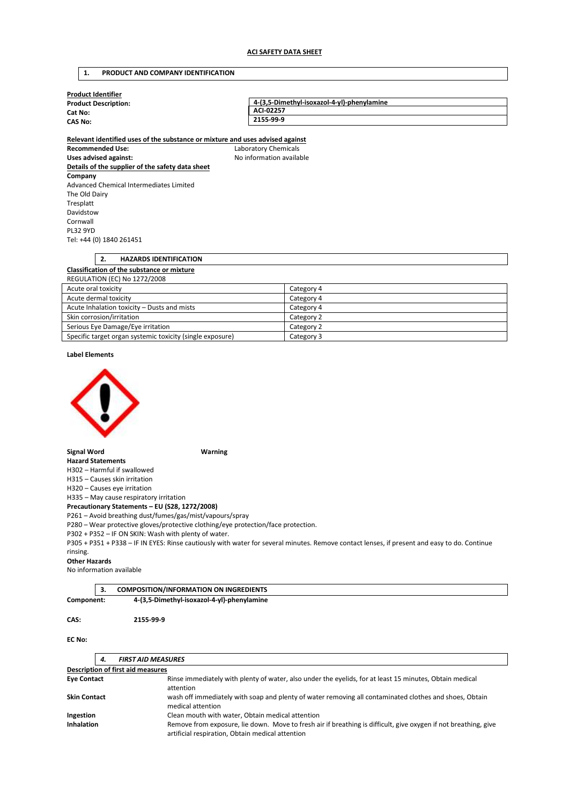## **1. PRODUCT AND COMPANY IDENTIFICATION**

| <b>Product Identifier</b>   |                                            |
|-----------------------------|--------------------------------------------|
| <b>Product Description:</b> | 4-(3,5-Dimethyl-isoxazol-4-yl)-phenylamine |
| Cat No:                     | ACI-02257                                  |
| <b>CAS No:</b>              | 2155-99-9                                  |
|                             |                                            |

**Relevant identified uses of the substance or mixture and uses advised against Recommended Use:** Laboratory Chemicals Uses advised against: **No information available Details of the supplier of the safety data sheet Company**  Advanced Chemical Intermediates Limited The Old Dairy Tresplatt Davidstow Cornwall PL32 9YD Tel: +44 (0) 1840 261451

|                     |  | <b>HAZARDS IDENTIFICATION</b>                     |            |
|---------------------|--|---------------------------------------------------|------------|
|                     |  | <b>Classification of the substance or mixture</b> |            |
|                     |  | REGULATION (EC) No 1272/2008                      |            |
| Acute oral toxicity |  |                                                   | Category 4 |

| Acute oral toxicity                                       | Category 4 |
|-----------------------------------------------------------|------------|
| Acute dermal toxicity                                     | Category 4 |
| Acute Inhalation toxicity – Dusts and mists               | Category 4 |
| Skin corrosion/irritation                                 | Category 2 |
| Serious Eye Damage/Eye irritation                         | Category 2 |
| Specific target organ systemic toxicity (single exposure) | Category 3 |

**Label Elements** 



**Signal Word Warning** 

**Hazard Statements**  H302 – Harmful if swallowed

H315 – Causes skin irritation

H320 – Causes eye irritation

H335 – May cause respiratory irritation

**Precautionary Statements – EU (S28, 1272/2008)** 

P261 – Avoid breathing dust/fumes/gas/mist/vapours/spray

P280 – Wear protective gloves/protective clothing/eye protection/face protection.

P302 + P352 – IF ON SKIN: Wash with plenty of water.

P305 + P351 + P338 – IF IN EYES: Rinse cautiously with water for several minutes. Remove contact lenses, if present and easy to do. Continue rinsing.

#### **Other Hazards**

No information available

**CAS: 2155-99-9** 

|            | <b>COMPOSITION/INFORMATION ON INGREDIENTS</b> |
|------------|-----------------------------------------------|
| Component: | 4-(3,5-Dimethyl-isoxazol-4-yl)-phenylamine    |

#### **EC No:**

| <b>FIRST AID MEASURES</b><br>4.                               |                                                                                                                                                                     |
|---------------------------------------------------------------|---------------------------------------------------------------------------------------------------------------------------------------------------------------------|
| <b>Description of first aid measures</b>                      |                                                                                                                                                                     |
| <b>Eye Contact</b>                                            | Rinse immediately with plenty of water, also under the eyelids, for at least 15 minutes, Obtain medical<br>attention                                                |
| <b>Skin Contact</b>                                           | wash off immediately with soap and plenty of water removing all contaminated clothes and shoes, Obtain<br>medical attention                                         |
| Clean mouth with water, Obtain medical attention<br>Ingestion |                                                                                                                                                                     |
| <b>Inhalation</b>                                             | Remove from exposure, lie down. Move to fresh air if breathing is difficult, give oxygen if not breathing, give<br>artificial respiration, Obtain medical attention |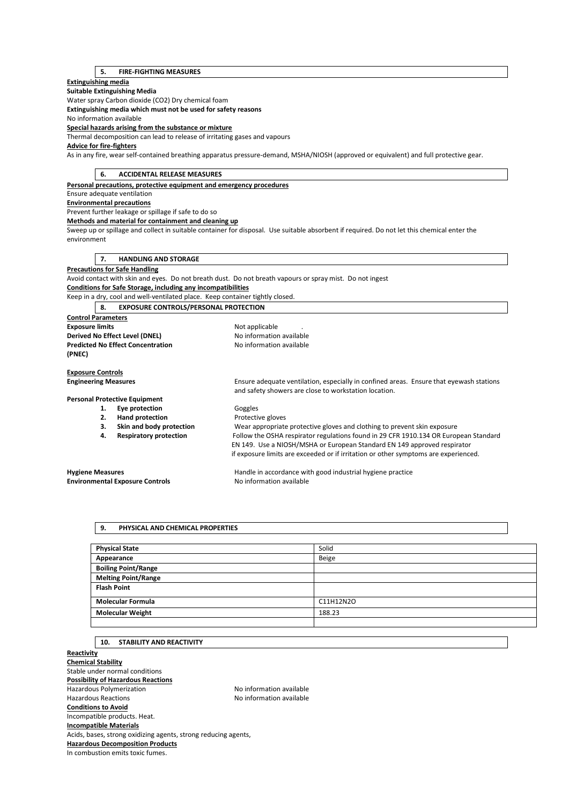# **5. FIRE-FIGHTING MEASURES**

## **Extinguishing media**

**Suitable Extinguishing Media** 

Water spray Carbon dioxide (CO2) Dry chemical foam

**Extinguishing media which must not be used for safety reasons** 

No information available

**Special hazards arising from the substance or mixture** 

Thermal decomposition can lead to release of irritating gases and vapours

# **Advice for fire-fighters**

As in any fire, wear self-contained breathing apparatus pressure-demand, MSHA/NIOSH (approved or equivalent) and full protective gear.

|                                | 6.<br><b>ACCIDENTAL RELEASE MEASURES</b> |                                                                               |                                                                                                                                                  |
|--------------------------------|------------------------------------------|-------------------------------------------------------------------------------|--------------------------------------------------------------------------------------------------------------------------------------------------|
|                                |                                          | Personal precautions, protective equipment and emergency procedures           |                                                                                                                                                  |
|                                |                                          | Ensure adequate ventilation                                                   |                                                                                                                                                  |
|                                |                                          | <b>Environmental precautions</b>                                              |                                                                                                                                                  |
|                                |                                          | Prevent further leakage or spillage if safe to do so                          |                                                                                                                                                  |
|                                |                                          | Methods and material for containment and cleaning up                          |                                                                                                                                                  |
|                                |                                          |                                                                               | Sweep up or spillage and collect in suitable container for disposal. Use suitable absorbent if required. Do not let this chemical enter the      |
| environment                    |                                          |                                                                               |                                                                                                                                                  |
|                                |                                          |                                                                               |                                                                                                                                                  |
|                                | 7.                                       | <b>HANDLING AND STORAGE</b>                                                   |                                                                                                                                                  |
|                                |                                          | <b>Precautions for Safe Handling</b>                                          |                                                                                                                                                  |
|                                |                                          |                                                                               | Avoid contact with skin and eyes. Do not breath dust. Do not breath vapours or spray mist. Do not ingest                                         |
|                                |                                          | Conditions for Safe Storage, including any incompatibilities                  |                                                                                                                                                  |
|                                |                                          | Keep in a dry, cool and well-ventilated place. Keep container tightly closed. |                                                                                                                                                  |
|                                | 8.                                       | <b>EXPOSURE CONTROLS/PERSONAL PROTECTION</b>                                  |                                                                                                                                                  |
| <b>Control Parameters</b>      |                                          |                                                                               |                                                                                                                                                  |
| <b>Exposure limits</b>         |                                          |                                                                               | Not applicable                                                                                                                                   |
| Derived No Effect Level (DNEL) |                                          |                                                                               | No information available                                                                                                                         |
|                                |                                          | <b>Predicted No Effect Concentration</b>                                      | No information available                                                                                                                         |
| (PNEC)                         |                                          |                                                                               |                                                                                                                                                  |
|                                |                                          |                                                                               |                                                                                                                                                  |
| <b>Exposure Controls</b>       |                                          |                                                                               |                                                                                                                                                  |
| <b>Engineering Measures</b>    |                                          |                                                                               | Ensure adequate ventilation, especially in confined areas. Ensure that eyewash stations<br>and safety showers are close to workstation location. |
|                                |                                          | <b>Personal Protective Equipment</b>                                          |                                                                                                                                                  |
|                                | 1.                                       | Eye protection                                                                | Goggles                                                                                                                                          |
|                                | 2.                                       | <b>Hand protection</b>                                                        | Protective gloves                                                                                                                                |
|                                | 3.                                       | Skin and body protection                                                      | Wear appropriate protective gloves and clothing to prevent skin exposure                                                                         |
|                                | 4.                                       | <b>Respiratory protection</b>                                                 | Follow the OSHA respirator regulations found in 29 CFR 1910.134 OR European Standard                                                             |
|                                |                                          |                                                                               | EN 149. Use a NIOSH/MSHA or European Standard EN 149 approved respirator                                                                         |
|                                |                                          |                                                                               | if exposure limits are exceeded or if irritation or other symptoms are experienced.                                                              |
|                                |                                          |                                                                               |                                                                                                                                                  |
| <b>Hygiene Measures</b>        |                                          |                                                                               | Handle in accordance with good industrial hygiene practice                                                                                       |
|                                |                                          | <b>Environmental Exposure Controls</b>                                        | No information available                                                                                                                         |

### **9. PHYSICAL AND CHEMICAL PROPERTIES**

| <b>Physical State</b>      | Solid     |
|----------------------------|-----------|
| Appearance                 | Beige     |
| <b>Boiling Point/Range</b> |           |
| <b>Melting Point/Range</b> |           |
| <b>Flash Point</b>         |           |
|                            |           |
| <b>Molecular Formula</b>   | C11H12N2O |
| <b>Molecular Weight</b>    | 188.23    |
|                            |           |

# **10. STABILITY AND REACTIVITY**

**Reactivity Chemical Stability**  Stable under normal conditions **Possibility of Hazardous Reactions**  Hazardous Polymerization and the Society of the No information available<br>Hazardous Reactions available No information available No information available **Conditions to Avoid**  Incompatible products. Heat. **Incompatible Materials**  Acids, bases, strong oxidizing agents, strong reducing agents, **Hazardous Decomposition Products**  In combustion emits toxic fumes.